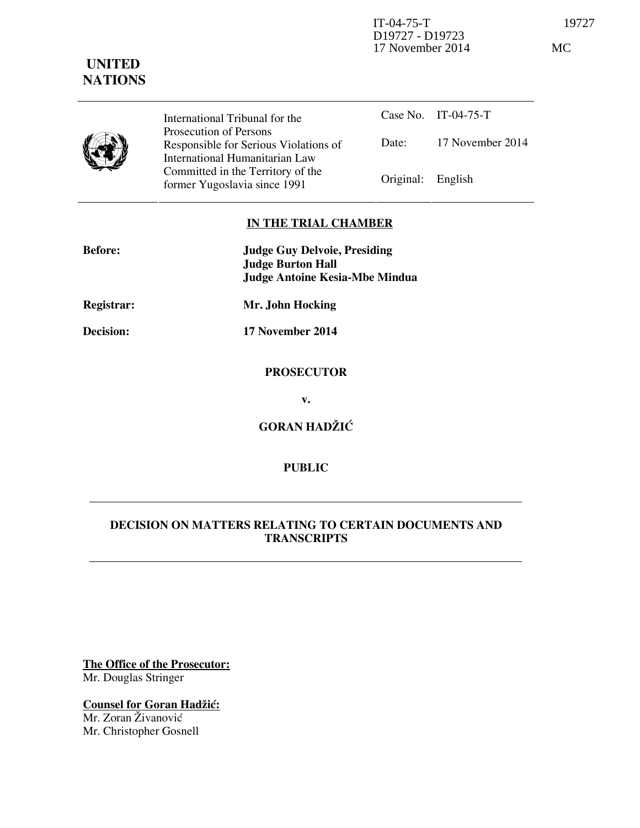IT-04-75-T 19727 D19727 - D19723 17 November 2014 MC

## **UNITED NATIONS**

International Tribunal for the Prosecution of Persons Responsible for Serious Violations of International Humanitarian Law Committed in the Territory of the Former Yugoslavia since 1991 Original: English

Case No. IT-04-75-T Date: 17 November 2014

## **IN THE TRIAL CHAMBER**

| <b>Before:</b>    | <b>Judge Guy Delvoie, Presiding</b><br><b>Judge Burton Hall</b><br><b>Judge Antoine Kesia-Mbe Mindua</b> |
|-------------------|----------------------------------------------------------------------------------------------------------|
| <b>Registrar:</b> | Mr. John Hocking                                                                                         |
| Decision:         | 17 November 2014                                                                                         |
|                   | <b>PROSECUTOR</b>                                                                                        |
|                   | v.                                                                                                       |
|                   | <b>GORAN HADŽIĆ</b>                                                                                      |

## **PUBLIC**

## **DECISION ON MATTERS RELATING TO CERTAIN DOCUMENTS AND TRANSCRIPTS**

**The Office of the Prosecutor:** Mr. Douglas Stringer

**Counsel for Goran Hadžić:** Mr. Zoran Živanović Mr. Christopher Gosnell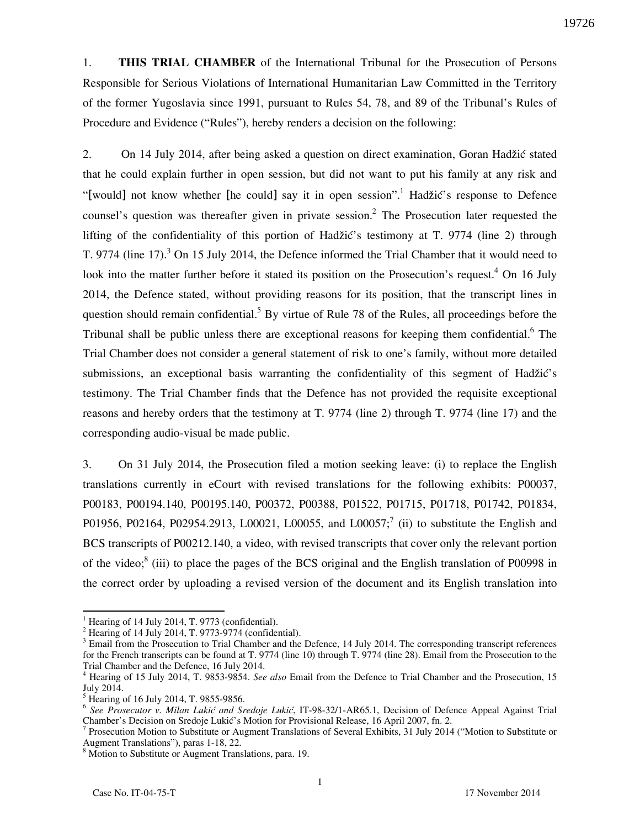1. **THIS TRIAL CHAMBER** of the International Tribunal for the Prosecution of Persons Responsible for Serious Violations of International Humanitarian Law Committed in the Territory of the former Yugoslavia since 1991, pursuant to Rules 54, 78, and 89 of the Tribunal's Rules of Procedure and Evidence ("Rules"), hereby renders a decision on the following:

2. On 14 July 2014, after being asked a question on direct examination, Goran Hadžić stated that he could explain further in open session, but did not want to put his family at any risk and "[would] not know whether [he could] say it in open session".<sup>1</sup> Hadžić's response to Defence counsel's question was thereafter given in private session.<sup>2</sup> The Prosecution later requested the lifting of the confidentiality of this portion of Hadžić's testimony at T. 9774 (line 2) through T. 9774 (line 17).<sup>3</sup> On 15 July 2014, the Defence informed the Trial Chamber that it would need to look into the matter further before it stated its position on the Prosecution's request.<sup>4</sup> On 16 July 2014, the Defence stated, without providing reasons for its position, that the transcript lines in question should remain confidential.<sup>5</sup> By virtue of Rule 78 of the Rules, all proceedings before the Tribunal shall be public unless there are exceptional reasons for keeping them confidential.<sup>6</sup> The Trial Chamber does not consider a general statement of risk to one's family, without more detailed submissions, an exceptional basis warranting the confidentiality of this segment of Hadžić's testimony. The Trial Chamber finds that the Defence has not provided the requisite exceptional reasons and hereby orders that the testimony at T. 9774 (line 2) through T. 9774 (line 17) and the corresponding audio-visual be made public.

3. On 31 July 2014, the Prosecution filed a motion seeking leave: (i) to replace the English translations currently in eCourt with revised translations for the following exhibits: P00037, P00183, P00194.140, P00195.140, P00372, P00388, P01522, P01715, P01718, P01742, P01834, P01956, P02164, P02954.2913, L00021, L00055, and L00057;<sup>7</sup> (ii) to substitute the English and BCS transcripts of P00212.140, a video, with revised transcripts that cover only the relevant portion of the video; $^{8}$  (iii) to place the pages of the BCS original and the English translation of P00998 in the correct order by uploading a revised version of the document and its English translation into

 $\overline{a}$  $<sup>1</sup>$  Hearing of 14 July 2014, T. 9773 (confidential).</sup>

<sup>2</sup> Hearing of 14 July 2014, T. 9773-9774 (confidential).

 $3$  Email from the Prosecution to Trial Chamber and the Defence, 14 July 2014. The corresponding transcript references for the French transcripts can be found at T. 9774 (line 10) through T. 9774 (line 28). Email from the Prosecution to the Trial Chamber and the Defence, 16 July 2014.

<sup>4</sup> Hearing of 15 July 2014, T. 9853-9854. *See also* Email from the Defence to Trial Chamber and the Prosecution, 15 July 2014.

<sup>&</sup>lt;sup>5</sup> Hearing of 16 July 2014, T. 9855-9856.

<sup>&</sup>lt;sup>6</sup> See Prosecutor v. Milan Lukić and Sredoje Lukić, IT-98-32/1-AR65.1, Decision of Defence Appeal Against Trial Chamber's Decision on Sredoje Lukić's Motion for Provisional Release, 16 April 2007, fn. 2.

<sup>7</sup> Prosecution Motion to Substitute or Augment Translations of Several Exhibits, 31 July 2014 ("Motion to Substitute or Augment Translations"), paras 1-18, 22. 8 Motion to Substitute or Augment Translations, para. 19.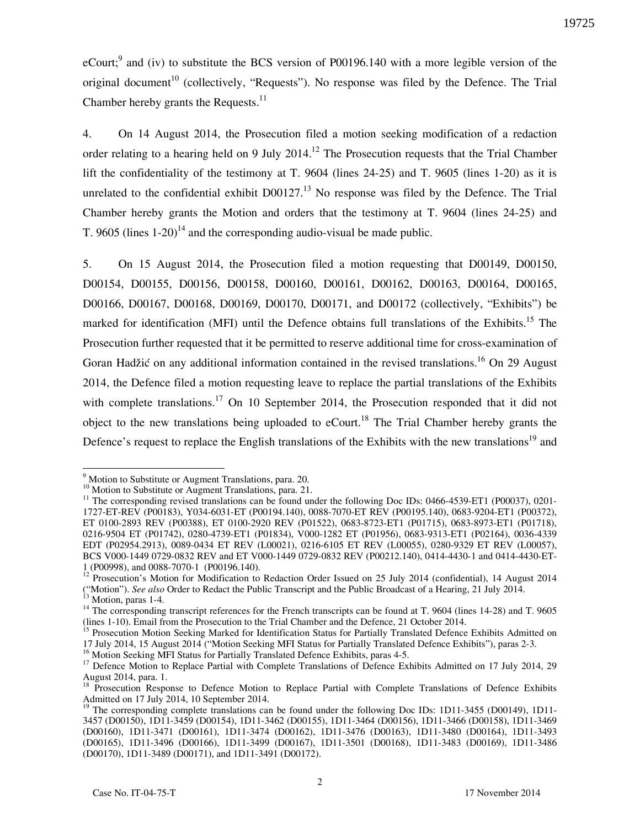eCourt;<sup>9</sup> and (iv) to substitute the BCS version of P00196.140 with a more legible version of the original document<sup>10</sup> (collectively, "Requests"). No response was filed by the Defence. The Trial Chamber hereby grants the Requests. $^{11}$ 

4. On 14 August 2014, the Prosecution filed a motion seeking modification of a redaction order relating to a hearing held on 9 July 2014.<sup>12</sup> The Prosecution requests that the Trial Chamber lift the confidentiality of the testimony at T. 9604 (lines 24-25) and T. 9605 (lines 1-20) as it is unrelated to the confidential exhibit  $D00127$ <sup>13</sup>. No response was filed by the Defence. The Trial Chamber hereby grants the Motion and orders that the testimony at T. 9604 (lines 24-25) and T. 9605 (lines  $1-20$ )<sup>14</sup> and the corresponding audio-visual be made public.

5. On 15 August 2014, the Prosecution filed a motion requesting that D00149, D00150, D00154, D00155, D00156, D00158, D00160, D00161, D00162, D00163, D00164, D00165, D00166, D00167, D00168, D00169, D00170, D00171, and D00172 (collectively, "Exhibits") be marked for identification (MFI) until the Defence obtains full translations of the Exhibits.<sup>15</sup> The Prosecution further requested that it be permitted to reserve additional time for cross-examination of Goran Hadžić on any additional information contained in the revised translations.<sup>16</sup> On 29 August 2014, the Defence filed a motion requesting leave to replace the partial translations of the Exhibits with complete translations.<sup>17</sup> On 10 September 2014, the Prosecution responded that it did not object to the new translations being uploaded to eCourt.<sup>18</sup> The Trial Chamber hereby grants the Defence's request to replace the English translations of the Exhibits with the new translations<sup>19</sup> and

<sup>&</sup>lt;sup>9</sup> Motion to Substitute or Augment Translations, para. 20.

<sup>&</sup>lt;sup>10</sup> Motion to Substitute or Augment Translations, para. 21.

<sup>&</sup>lt;sup>11</sup> The corresponding revised translations can be found under the following Doc IDs: 0466-4539-ET1 (P00037), 0201-1727-ET-REV (P00183), Y034-6031-ET (P00194.140), 0088-7070-ET REV (P00195.140), 0683-9204-ET1 (P00372), ET 0100-2893 REV (P00388), ET 0100-2920 REV (P01522), 0683-8723-ET1 (P01715), 0683-8973-ET1 (P01718), 0216-9504 ET (P01742), 0280-4739-ET1 (P01834), V000-1282 ET (P01956), 0683-9313-ET1 (P02164), 0036-4339 EDT (P02954.2913), 0089-0434 ET REV (L00021), 0216-6105 ET REV (L00055), 0280-9329 ET REV (L00057), BCS V000-1449 0729-0832 REV and ET V000-1449 0729-0832 REV (P00212.140), 0414-4430-1 and 0414-4430-ET-1 (P00998), and 0088-7070-1 (P00196.140).

<sup>&</sup>lt;sup>12</sup> Prosecution's Motion for Modification to Redaction Order Issued on 25 July 2014 (confidential), 14 August 2014 ("Motion"). *See also* Order to Redact the Public Transcript and the Public Broadcast of a Hearing, 21 July 2014.

 $13$  Motion, paras 1-4.

<sup>&</sup>lt;sup>14</sup> The corresponding transcript references for the French transcripts can be found at T. 9604 (lines 14-28) and T. 9605 (lines 1-10). Email from the Prosecution to the Trial Chamber and the Defence, 21 October 2014.

<sup>&</sup>lt;sup>15</sup> Prosecution Motion Seeking Marked for Identification Status for Partially Translated Defence Exhibits Admitted on 17 July 2014, 15 August 2014 ("Motion Seeking MFI Status for Partially Translated Defence Exhibits"), paras 2-3.

<sup>&</sup>lt;sup>16</sup> Motion Seeking MFI Status for Partially Translated Defence Exhibits, paras 4-5.

<sup>&</sup>lt;sup>17</sup> Defence Motion to Replace Partial with Complete Translations of Defence Exhibits Admitted on 17 July 2014, 29 August 2014, para. 1.

<sup>&</sup>lt;sup>18</sup> Prosecution Response to Defence Motion to Replace Partial with Complete Translations of Defence Exhibits Admitted on 17 July 2014, 10 September 2014.

<sup>&</sup>lt;sup>19</sup> The corresponding complete translations can be found under the following Doc IDs: 1D11-3455 (D00149), 1D11-3457 (D00150), 1D11-3459 (D00154), 1D11-3462 (D00155), 1D11-3464 (D00156), 1D11-3466 (D00158), 1D11-3469 (D00160), 1D11-3471 (D00161), 1D11-3474 (D00162), 1D11-3476 (D00163), 1D11-3480 (D00164), 1D11-3493 (D00165), 1D11-3496 (D00166), 1D11-3499 (D00167), 1D11-3501 (D00168), 1D11-3483 (D00169), 1D11-3486 (D00170), 1D11-3489 (D00171), and 1D11-3491 (D00172).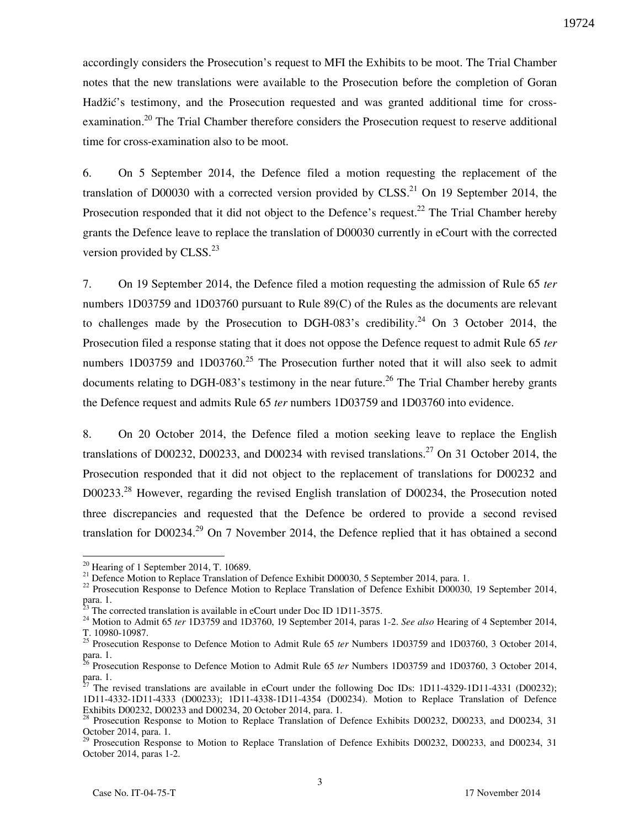accordingly considers the Prosecution's request to MFI the Exhibits to be moot. The Trial Chamber notes that the new translations were available to the Prosecution before the completion of Goran Hadžić's testimony, and the Prosecution requested and was granted additional time for crossexamination.<sup>20</sup> The Trial Chamber therefore considers the Prosecution request to reserve additional time for cross-examination also to be moot.

6. On 5 September 2014, the Defence filed a motion requesting the replacement of the translation of D00030 with a corrected version provided by CLSS.<sup>21</sup> On 19 September 2014, the Prosecution responded that it did not object to the Defence's request.<sup>22</sup> The Trial Chamber hereby grants the Defence leave to replace the translation of D00030 currently in eCourt with the corrected version provided by  $CLSS.<sup>23</sup>$ 

7. On 19 September 2014, the Defence filed a motion requesting the admission of Rule 65 *ter*  numbers 1D03759 and 1D03760 pursuant to Rule 89(C) of the Rules as the documents are relevant to challenges made by the Prosecution to DGH-083's credibility.<sup>24</sup> On 3 October 2014, the Prosecution filed a response stating that it does not oppose the Defence request to admit Rule 65 *ter*  numbers 1D03759 and 1D03760.<sup>25</sup> The Prosecution further noted that it will also seek to admit documents relating to DGH-083's testimony in the near future.<sup>26</sup> The Trial Chamber hereby grants the Defence request and admits Rule 65 *ter* numbers 1D03759 and 1D03760 into evidence.

8. On 20 October 2014, the Defence filed a motion seeking leave to replace the English translations of D00232, D00233, and D00234 with revised translations.<sup>27</sup> On 31 October 2014, the Prosecution responded that it did not object to the replacement of translations for D00232 and D00233.<sup>28</sup> However, regarding the revised English translation of D00234, the Prosecution noted three discrepancies and requested that the Defence be ordered to provide a second revised translation for  $D00234<sup>29</sup>$  On 7 November 2014, the Defence replied that it has obtained a second

 $\overline{a}$ 

 $20$  Hearing of 1 September 2014, T, 10689.

<sup>&</sup>lt;sup>21</sup> Defence Motion to Replace Translation of Defence Exhibit D00030, 5 September 2014, para. 1.

<sup>&</sup>lt;sup>22</sup> Prosecution Response to Defence Motion to Replace Translation of Defence Exhibit D00030, 19 September 2014, para. 1.

 $^{23}$  The corrected translation is available in eCourt under Doc ID 1D11-3575.

<sup>24</sup> Motion to Admit 65 *ter* 1D3759 and 1D3760, 19 September 2014, paras 1-2. *See also* Hearing of 4 September 2014, T. 10980-10987.

<sup>&</sup>lt;sup>25</sup> Prosecution Response to Defence Motion to Admit Rule 65 *ter* Numbers 1D03759 and 1D03760, 3 October 2014, para. 1.

<sup>26</sup> Prosecution Response to Defence Motion to Admit Rule 65 *ter* Numbers 1D03759 and 1D03760, 3 October 2014, para. 1.

<sup>27</sup> The revised translations are available in eCourt under the following Doc IDs: 1D11-4329-1D11-4331 (D00232); 1D11-4332-1D11-4333 (D00233); 1D11-4338-1D11-4354 (D00234). Motion to Replace Translation of Defence Exhibits D00232, D00233 and D00234, 20 October 2014, para. 1.

<sup>28</sup> Prosecution Response to Motion to Replace Translation of Defence Exhibits D00232, D00233, and D00234, 31 October 2014, para. 1.

<sup>29</sup> Prosecution Response to Motion to Replace Translation of Defence Exhibits D00232, D00233, and D00234, 31 October 2014, paras 1-2.